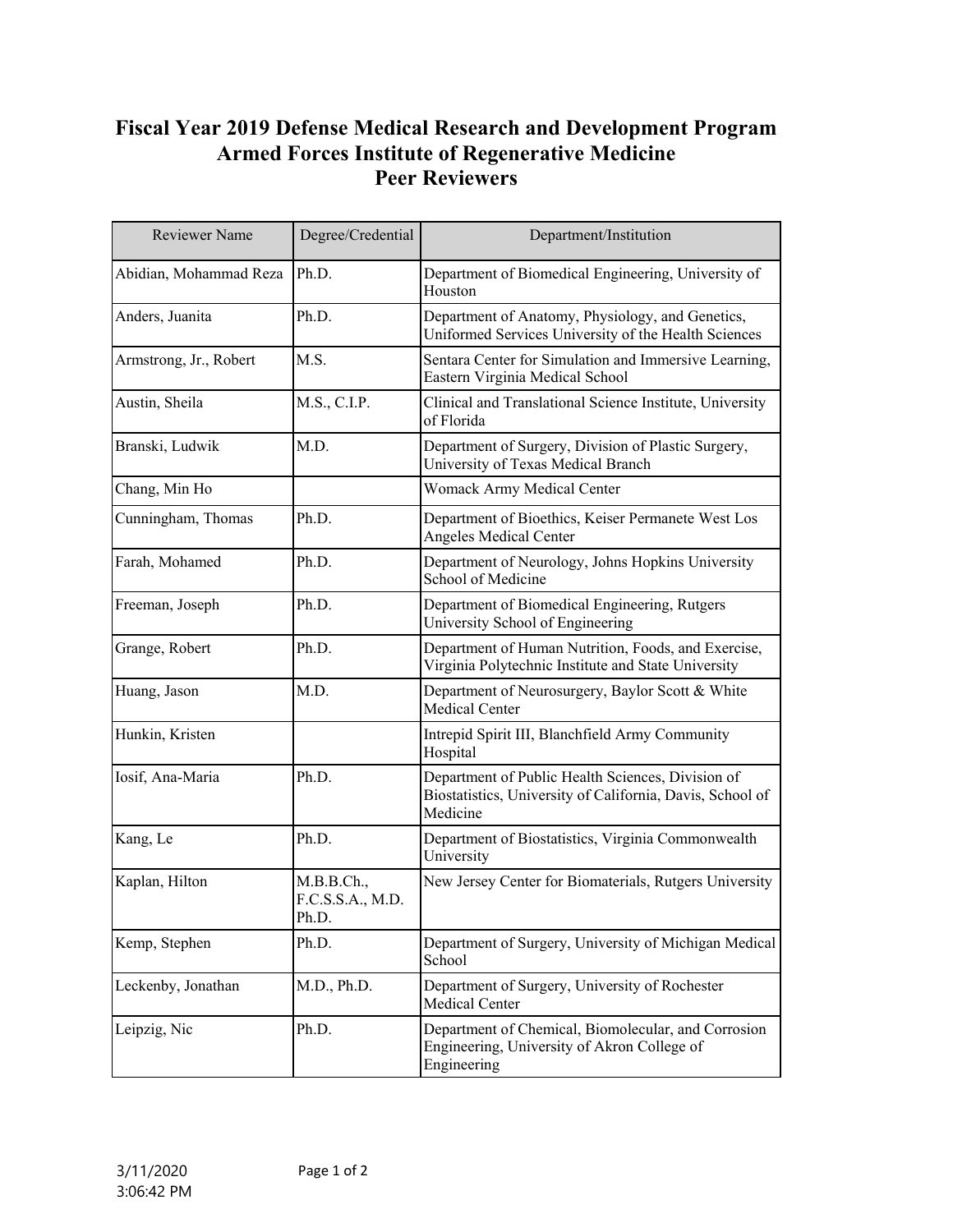## **Fiscal Year 2019 Defense Medical Research and Development Program Armed Forces Institute of Regenerative Medicine Peer Reviewers**

| Reviewer Name          | Degree/Credential                       | Department/Institution                                                                                                     |
|------------------------|-----------------------------------------|----------------------------------------------------------------------------------------------------------------------------|
| Abidian, Mohammad Reza | Ph.D.                                   | Department of Biomedical Engineering, University of<br>Houston                                                             |
| Anders, Juanita        | Ph.D.                                   | Department of Anatomy, Physiology, and Genetics,<br>Uniformed Services University of the Health Sciences                   |
| Armstrong, Jr., Robert | M.S.                                    | Sentara Center for Simulation and Immersive Learning,<br>Eastern Virginia Medical School                                   |
| Austin, Sheila         | M.S., C.I.P.                            | Clinical and Translational Science Institute, University<br>of Florida                                                     |
| Branski, Ludwik        | M.D.                                    | Department of Surgery, Division of Plastic Surgery,<br>University of Texas Medical Branch                                  |
| Chang, Min Ho          |                                         | Womack Army Medical Center                                                                                                 |
| Cunningham, Thomas     | Ph.D.                                   | Department of Bioethics, Keiser Permanete West Los<br>Angeles Medical Center                                               |
| Farah, Mohamed         | Ph.D.                                   | Department of Neurology, Johns Hopkins University<br>School of Medicine                                                    |
| Freeman, Joseph        | Ph.D.                                   | Department of Biomedical Engineering, Rutgers<br>University School of Engineering                                          |
| Grange, Robert         | Ph.D.                                   | Department of Human Nutrition, Foods, and Exercise,<br>Virginia Polytechnic Institute and State University                 |
| Huang, Jason           | M.D.                                    | Department of Neurosurgery, Baylor Scott & White<br>Medical Center                                                         |
| Hunkin, Kristen        |                                         | Intrepid Spirit III, Blanchfield Army Community<br>Hospital                                                                |
| Iosif, Ana-Maria       | Ph.D.                                   | Department of Public Health Sciences, Division of<br>Biostatistics, University of California, Davis, School of<br>Medicine |
| Kang, Le               | Ph.D.                                   | Department of Biostatistics, Virginia Commonwealth<br>University                                                           |
| Kaplan, Hilton         | M.B.B.Ch.,<br>F.C.S.S.A., M.D.<br>Ph.D. | New Jersey Center for Biomaterials, Rutgers University                                                                     |
| Kemp, Stephen          | Ph.D.                                   | Department of Surgery, University of Michigan Medical<br>School                                                            |
| Leckenby, Jonathan     | M.D., Ph.D.                             | Department of Surgery, University of Rochester<br>Medical Center                                                           |
| Leipzig, Nic           | Ph.D.                                   | Department of Chemical, Biomolecular, and Corrosion<br>Engineering, University of Akron College of<br>Engineering          |